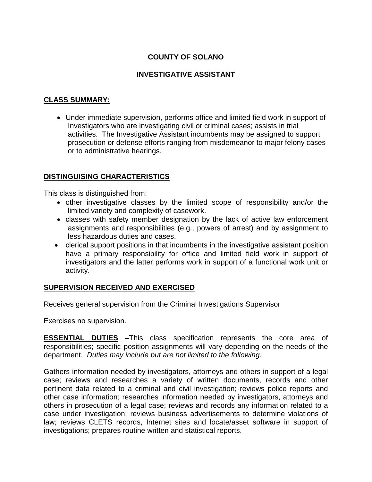# **COUNTY OF SOLANO**

## **INVESTIGATIVE ASSISTANT**

## **CLASS SUMMARY:**

• Under immediate supervision, performs office and limited field work in support of Investigators who are investigating civil or criminal cases; assists in trial activities. The Investigative Assistant incumbents may be assigned to support prosecution or defense efforts ranging from misdemeanor to major felony cases or to administrative hearings.

## **DISTINGUISING CHARACTERISTICS**

This class is distinguished from:

- other investigative classes by the limited scope of responsibility and/or the limited variety and complexity of casework.
- classes with safety member designation by the lack of active law enforcement assignments and responsibilities (e.g., powers of arrest) and by assignment to less hazardous duties and cases.
- clerical support positions in that incumbents in the investigative assistant position have a primary responsibility for office and limited field work in support of investigators and the latter performs work in support of a functional work unit or activity.

## **SUPERVISION RECEIVED AND EXERCISED**

Receives general supervision from the Criminal Investigations Supervisor

Exercises no supervision.

**ESSENTIAL DUTIES** *–*This class specification represents the core area of responsibilities; specific position assignments will vary depending on the needs of the department. *Duties may include but are not limited to the following:*

Gathers information needed by investigators, attorneys and others in support of a legal case; reviews and researches a variety of written documents, records and other pertinent data related to a criminal and civil investigation; reviews police reports and other case information; researches information needed by investigators, attorneys and others in prosecution of a legal case; reviews and records any information related to a case under investigation; reviews business advertisements to determine violations of law; reviews CLETS records, Internet sites and locate/asset software in support of investigations; prepares routine written and statistical reports.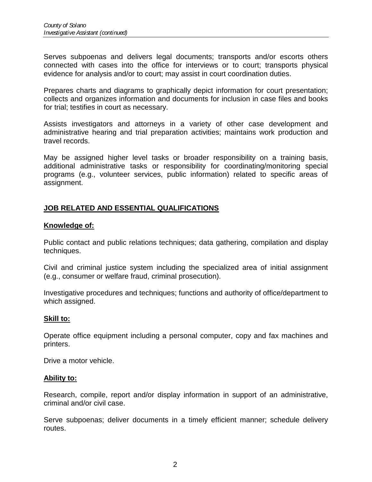Serves subpoenas and delivers legal documents; transports and/or escorts others connected with cases into the office for interviews or to court; transports physical evidence for analysis and/or to court; may assist in court coordination duties.

Prepares charts and diagrams to graphically depict information for court presentation; collects and organizes information and documents for inclusion in case files and books for trial; testifies in court as necessary.

Assists investigators and attorneys in a variety of other case development and administrative hearing and trial preparation activities; maintains work production and travel records.

May be assigned higher level tasks or broader responsibility on a training basis, additional administrative tasks or responsibility for coordinating/monitoring special programs (e.g., volunteer services, public information) related to specific areas of assignment.

## **JOB RELATED AND ESSENTIAL QUALIFICATIONS**

## **Knowledge of:**

Public contact and public relations techniques; data gathering, compilation and display techniques.

Civil and criminal justice system including the specialized area of initial assignment (e.g., consumer or welfare fraud, criminal prosecution).

Investigative procedures and techniques; functions and authority of office/department to which assigned.

## **Skill to:**

Operate office equipment including a personal computer, copy and fax machines and printers.

Drive a motor vehicle.

#### **Ability to:**

Research, compile, report and/or display information in support of an administrative, criminal and/or civil case.

Serve subpoenas; deliver documents in a timely efficient manner; schedule delivery routes.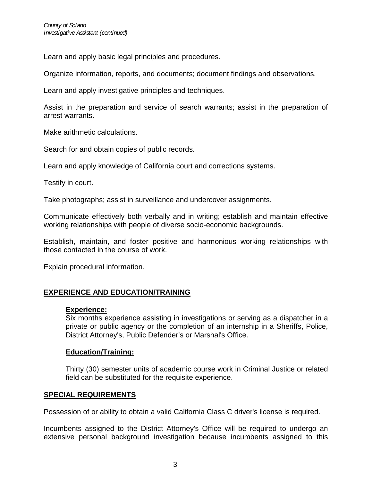Learn and apply basic legal principles and procedures.

Organize information, reports, and documents; document findings and observations.

Learn and apply investigative principles and techniques.

Assist in the preparation and service of search warrants; assist in the preparation of arrest warrants.

Make arithmetic calculations.

Search for and obtain copies of public records.

Learn and apply knowledge of California court and corrections systems.

Testify in court.

Take photographs; assist in surveillance and undercover assignments.

Communicate effectively both verbally and in writing; establish and maintain effective working relationships with people of diverse socio-economic backgrounds.

Establish, maintain, and foster positive and harmonious working relationships with those contacted in the course of work.

Explain procedural information.

## **EXPERIENCE AND EDUCATION/TRAINING**

## **Experience:**

Six months experience assisting in investigations or serving as a dispatcher in a private or public agency or the completion of an internship in a Sheriffs, Police, District Attorney's, Public Defender's or Marshal's Office.

## **Education/Training:**

Thirty (30) semester units of academic course work in Criminal Justice or related field can be substituted for the requisite experience.

## **SPECIAL REQUIREMENTS**

Possession of or ability to obtain a valid California Class C driver's license is required.

Incumbents assigned to the District Attorney's Office will be required to undergo an extensive personal background investigation because incumbents assigned to this